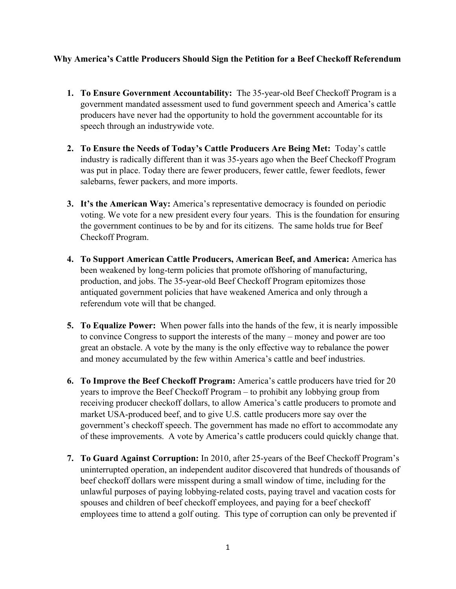## **Why America's Cattle Producers Should Sign the Petition for a Beef Checkoff Referendum**

- **1. To Ensure Government Accountability:** The 35-year-old Beef Checkoff Program is a government mandated assessment used to fund government speech and America's cattle producers have never had the opportunity to hold the government accountable for its speech through an industrywide vote.
- **2. To Ensure the Needs of Today's Cattle Producers Are Being Met:** Today's cattle industry is radically different than it was 35-years ago when the Beef Checkoff Program was put in place. Today there are fewer producers, fewer cattle, fewer feedlots, fewer salebarns, fewer packers, and more imports.
- **3. It's the American Way:** America's representative democracy is founded on periodic voting. We vote for a new president every four years. This is the foundation for ensuring the government continues to be by and for its citizens. The same holds true for Beef Checkoff Program.
- **4. To Support American Cattle Producers, American Beef, and America:** America has been weakened by long-term policies that promote offshoring of manufacturing, production, and jobs. The 35-year-old Beef Checkoff Program epitomizes those antiquated government policies that have weakened America and only through a referendum vote will that be changed.
- **5. To Equalize Power:** When power falls into the hands of the few, it is nearly impossible to convince Congress to support the interests of the many – money and power are too great an obstacle. A vote by the many is the only effective way to rebalance the power and money accumulated by the few within America's cattle and beef industries.
- **6. To Improve the Beef Checkoff Program:** America's cattle producers have tried for 20 years to improve the Beef Checkoff Program – to prohibit any lobbying group from receiving producer checkoff dollars, to allow America's cattle producers to promote and market USA-produced beef, and to give U.S. cattle producers more say over the government's checkoff speech. The government has made no effort to accommodate any of these improvements. A vote by America's cattle producers could quickly change that.
- **7. To Guard Against Corruption:** In 2010, after 25-years of the Beef Checkoff Program's uninterrupted operation, an independent auditor discovered that hundreds of thousands of beef checkoff dollars were misspent during a small window of time, including for the unlawful purposes of paying lobbying-related costs, paying travel and vacation costs for spouses and children of beef checkoff employees, and paying for a beef checkoff employees time to attend a golf outing. This type of corruption can only be prevented if